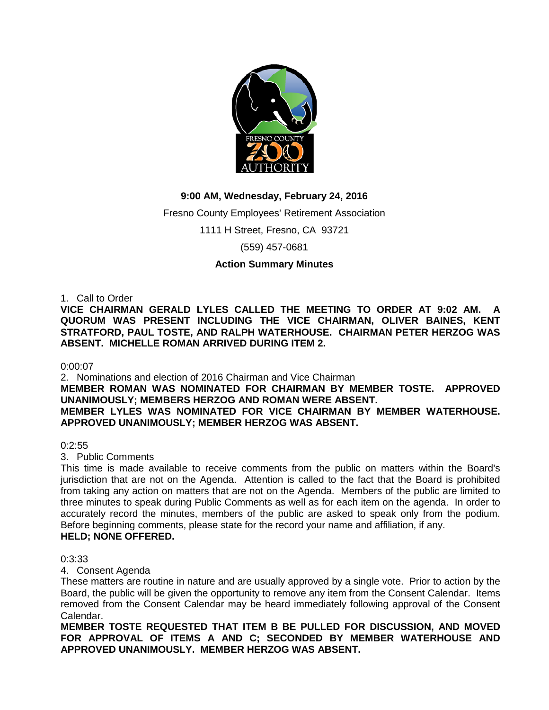

# **9:00 AM, Wednesday, February 24, 2016**

Fresno County Employees' Retirement Association

1111 H Street, Fresno, CA 93721

(559) 457-0681

# **Action Summary Minutes**

1. Call to Order

VICE CHAIRMAN GERALD LYLES CALLED THE MEETING TO ORDER AT 9:02 AM. **QUORUM WAS PRESENT INCLUDING THE VICE CHAIRMAN, OLIVER BAINES, KENT STRATFORD, PAUL TOSTE, AND RALPH WATERHOUSE. CHAIRMAN PETER HERZOG WAS ABSENT. MICHELLE ROMAN ARRIVED DURING ITEM 2.**

0:00:07

2. Nominations and election of 2016 Chairman and Vice Chairman **MEMBER ROMAN WAS NOMINATED FOR CHAIRMAN BY MEMBER TOSTE. APPROVED UNANIMOUSLY; MEMBERS HERZOG AND ROMAN WERE ABSENT. MEMBER LYLES WAS NOMINATED FOR VICE CHAIRMAN BY MEMBER WATERHOUSE. APPROVED UNANIMOUSLY; MEMBER HERZOG WAS ABSENT.**

 $0:2:55$ 

3. Public Comments

This time is made available to receive comments from the public on matters within the Board's jurisdiction that are not on the Agenda. Attention is called to the fact that the Board is prohibited from taking any action on matters that are not on the Agenda. Members of the public are limited to three minutes to speak during Public Comments as well as for each item on the agenda. In order to accurately record the minutes, members of the public are asked to speak only from the podium. Before beginning comments, please state for the record your name and affiliation, if any. **HELD; NONE OFFERED.**

0:3:33

4. Consent Agenda

These matters are routine in nature and are usually approved by a single vote. Prior to action by the Board, the public will be given the opportunity to remove any item from the Consent Calendar. Items removed from the Consent Calendar may be heard immediately following approval of the Consent Calendar.

**MEMBER TOSTE REQUESTED THAT ITEM B BE PULLED FOR DISCUSSION, AND MOVED FOR APPROVAL OF ITEMS A AND C; SECONDED BY MEMBER WATERHOUSE AND APPROVED UNANIMOUSLY. MEMBER HERZOG WAS ABSENT.**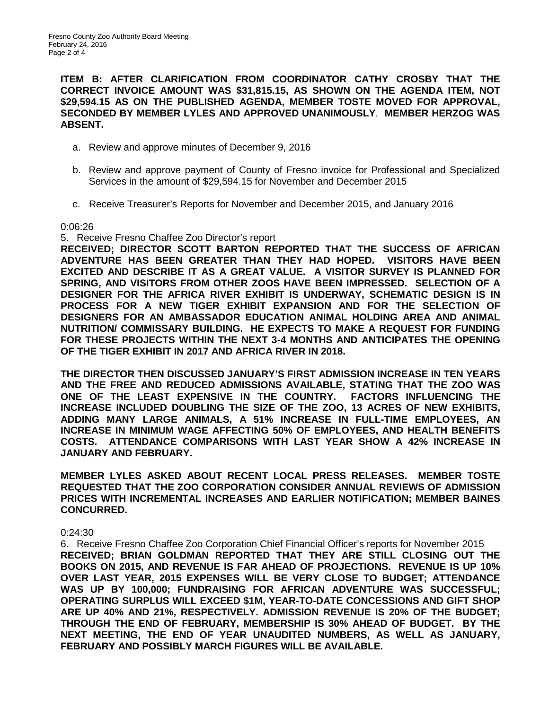**ITEM B: AFTER CLARIFICATION FROM COORDINATOR CATHY CROSBY THAT THE CORRECT INVOICE AMOUNT WAS \$31,815.15, AS SHOWN ON THE AGENDA ITEM, NOT \$29,594.15 AS ON THE PUBLISHED AGENDA, MEMBER TOSTE MOVED FOR APPROVAL, SECONDED BY MEMBER LYLES AND APPROVED UNANIMOUSLY**. **MEMBER HERZOG WAS ABSENT.**

- a. Review and approve minutes of December 9, 2016
- b. Review and approve payment of County of Fresno invoice for Professional and Specialized Services in the amount of \$29,594.15 for November and December 2015
- c. Receive Treasurer's Reports for November and December 2015, and January 2016

0:06:26

5. Receive Fresno Chaffee Zoo Director's report

**RECEIVED; DIRECTOR SCOTT BARTON REPORTED THAT THE SUCCESS OF AFRICAN ADVENTURE HAS BEEN GREATER THAN THEY HAD HOPED. VISITORS HAVE BEEN EXCITED AND DESCRIBE IT AS A GREAT VALUE. A VISITOR SURVEY IS PLANNED FOR SPRING, AND VISITORS FROM OTHER ZOOS HAVE BEEN IMPRESSED. SELECTION OF A DESIGNER FOR THE AFRICA RIVER EXHIBIT IS UNDERWAY, SCHEMATIC DESIGN IS IN PROCESS FOR A NEW TIGER EXHIBIT EXPANSION AND FOR THE SELECTION OF DESIGNERS FOR AN AMBASSADOR EDUCATION ANIMAL HOLDING AREA AND ANIMAL NUTRITION/ COMMISSARY BUILDING. HE EXPECTS TO MAKE A REQUEST FOR FUNDING FOR THESE PROJECTS WITHIN THE NEXT 3-4 MONTHS AND ANTICIPATES THE OPENING OF THE TIGER EXHIBIT IN 2017 AND AFRICA RIVER IN 2018.**

**THE DIRECTOR THEN DISCUSSED JANUARY'S FIRST ADMISSION INCREASE IN TEN YEARS AND THE FREE AND REDUCED ADMISSIONS AVAILABLE, STATING THAT THE ZOO WAS ONE OF THE LEAST EXPENSIVE IN THE COUNTRY. FACTORS INFLUENCING THE INCREASE INCLUDED DOUBLING THE SIZE OF THE ZOO, 13 ACRES OF NEW EXHIBITS, ADDING MANY LARGE ANIMALS, A 51% INCREASE IN FULL-TIME EMPLOYEES, AN INCREASE IN MINIMUM WAGE AFFECTING 50% OF EMPLOYEES, AND HEALTH BENEFITS COSTS. ATTENDANCE COMPARISONS WITH LAST YEAR SHOW A 42% INCREASE IN JANUARY AND FEBRUARY.** 

**MEMBER LYLES ASKED ABOUT RECENT LOCAL PRESS RELEASES. MEMBER TOSTE REQUESTED THAT THE ZOO CORPORATION CONSIDER ANNUAL REVIEWS OF ADMISSION PRICES WITH INCREMENTAL INCREASES AND EARLIER NOTIFICATION; MEMBER BAINES CONCURRED.**

## 0:24:30

6. Receive Fresno Chaffee Zoo Corporation Chief Financial Officer's reports for November 2015 **RECEIVED; BRIAN GOLDMAN REPORTED THAT THEY ARE STILL CLOSING OUT THE BOOKS ON 2015, AND REVENUE IS FAR AHEAD OF PROJECTIONS. REVENUE IS UP 10% OVER LAST YEAR, 2015 EXPENSES WILL BE VERY CLOSE TO BUDGET; ATTENDANCE WAS UP BY 100,000; FUNDRAISING FOR AFRICAN ADVENTURE WAS SUCCESSFUL; OPERATING SURPLUS WILL EXCEED \$1M, YEAR-TO-DATE CONCESSIONS AND GIFT SHOP ARE UP 40% AND 21%, RESPECTIVELY. ADMISSION REVENUE IS 20% OF THE BUDGET; THROUGH THE END OF FEBRUARY, MEMBERSHIP IS 30% AHEAD OF BUDGET. BY THE NEXT MEETING, THE END OF YEAR UNAUDITED NUMBERS, AS WELL AS JANUARY, FEBRUARY AND POSSIBLY MARCH FIGURES WILL BE AVAILABLE.**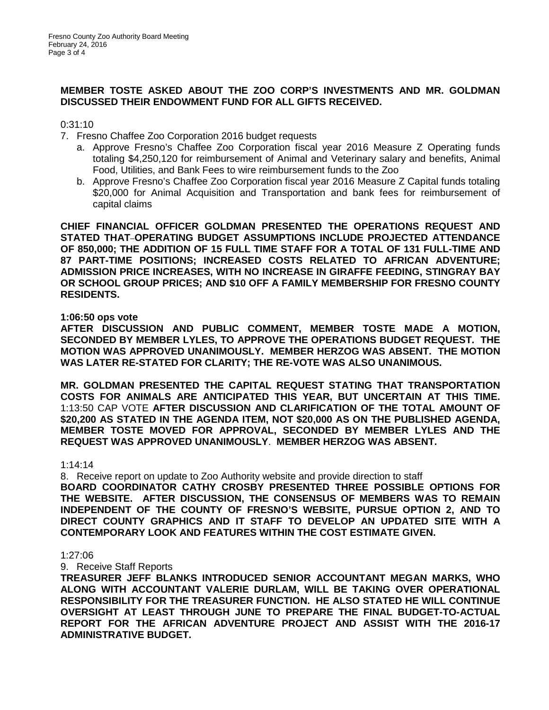# **MEMBER TOSTE ASKED ABOUT THE ZOO CORP'S INVESTMENTS AND MR. GOLDMAN DISCUSSED THEIR ENDOWMENT FUND FOR ALL GIFTS RECEIVED.**

0:31:10

- 7. Fresno Chaffee Zoo Corporation 2016 budget requests
	- a. Approve Fresno's Chaffee Zoo Corporation fiscal year 2016 Measure Z Operating funds totaling \$4,250,120 for reimbursement of Animal and Veterinary salary and benefits, Animal Food, Utilities, and Bank Fees to wire reimbursement funds to the Zoo
	- b. Approve Fresno's Chaffee Zoo Corporation fiscal year 2016 Measure Z Capital funds totaling \$20,000 for Animal Acquisition and Transportation and bank fees for reimbursement of capital claims

**CHIEF FINANCIAL OFFICER GOLDMAN PRESENTED THE OPERATIONS REQUEST AND STATED THAT OPERATING BUDGET ASSUMPTIONS INCLUDE PROJECTED ATTENDANCE OF 850,000; THE ADDITION OF 15 FULL TIME STAFF FOR A TOTAL OF 131 FULL-TIME AND 87 PART-TIME POSITIONS; INCREASED COSTS RELATED TO AFRICAN ADVENTURE; ADMISSION PRICE INCREASES, WITH NO INCREASE IN GIRAFFE FEEDING, STINGRAY BAY OR SCHOOL GROUP PRICES; AND \$10 OFF A FAMILY MEMBERSHIP FOR FRESNO COUNTY RESIDENTS.**

#### **1:06:50 ops vote**

**AFTER DISCUSSION AND PUBLIC COMMENT, MEMBER TOSTE MADE A MOTION, SECONDED BY MEMBER LYLES, TO APPROVE THE OPERATIONS BUDGET REQUEST. THE MOTION WAS APPROVED UNANIMOUSLY. MEMBER HERZOG WAS ABSENT. THE MOTION WAS LATER RE-STATED FOR CLARITY; THE RE-VOTE WAS ALSO UNANIMOUS.**

**MR. GOLDMAN PRESENTED THE CAPITAL REQUEST STATING THAT TRANSPORTATION COSTS FOR ANIMALS ARE ANTICIPATED THIS YEAR, BUT UNCERTAIN AT THIS TIME.**  1:13:50 CAP VOTE **AFTER DISCUSSION AND CLARIFICATION OF THE TOTAL AMOUNT OF \$20,200 AS STATED IN THE AGENDA ITEM, NOT \$20,000 AS ON THE PUBLISHED AGENDA, MEMBER TOSTE MOVED FOR APPROVAL, SECONDED BY MEMBER LYLES AND THE REQUEST WAS APPROVED UNANIMOUSLY**. **MEMBER HERZOG WAS ABSENT.**

#### 1:14:14

8. Receive report on update to Zoo Authority website and provide direction to staff

**BOARD COORDINATOR CATHY CROSBY PRESENTED THREE POSSIBLE OPTIONS FOR THE WEBSITE. AFTER DISCUSSION, THE CONSENSUS OF MEMBERS WAS TO REMAIN INDEPENDENT OF THE COUNTY OF FRESNO'S WEBSITE, PURSUE OPTION 2, AND TO DIRECT COUNTY GRAPHICS AND IT STAFF TO DEVELOP AN UPDATED SITE WITH A CONTEMPORARY LOOK AND FEATURES WITHIN THE COST ESTIMATE GIVEN.**

#### 1:27:06

9. Receive Staff Reports

**TREASURER JEFF BLANKS INTRODUCED SENIOR ACCOUNTANT MEGAN MARKS, WHO ALONG WITH ACCOUNTANT VALERIE DURLAM, WILL BE TAKING OVER OPERATIONAL RESPONSIBILITY FOR THE TREASURER FUNCTION. HE ALSO STATED HE WILL CONTINUE OVERSIGHT AT LEAST THROUGH JUNE TO PREPARE THE FINAL BUDGET-TO-ACTUAL REPORT FOR THE AFRICAN ADVENTURE PROJECT AND ASSIST WITH THE 2016-17 ADMINISTRATIVE BUDGET.**